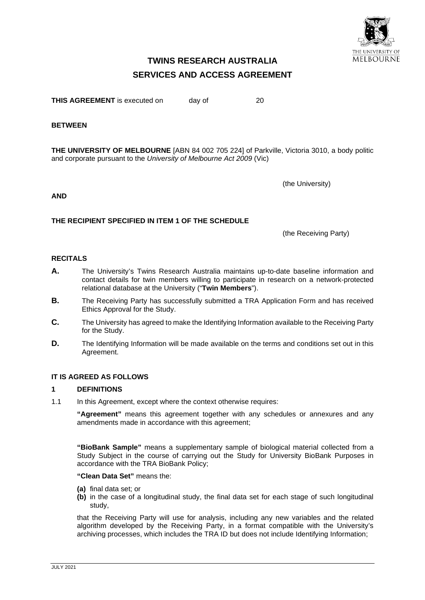

# **TWINS RESEARCH AUSTRALIA SERVICES AND ACCESS AGREEMENT**

**THIS AGREEMENT** is executed on day of 20

#### **BETWEEN**

**THE UNIVERSITY OF MELBOURNE** [ABN 84 002 705 224] of Parkville, Victoria 3010, a body politic and corporate pursuant to the *University of Melbourne Act 2009* (Vic)

**AND**

#### **THE RECIPIENT SPECIFIED IN ITEM 1 OF THE SCHEDULE**

(the Receiving Party)

(the University)

#### **RECITALS**

- **A.** The University's Twins Research Australia maintains up-to-date baseline information and contact details for twin members willing to participate in research on a network-protected relational database at the University ("**Twin Members**").
- **B.** The Receiving Party has successfully submitted a TRA Application Form and has received Ethics Approval for the Study.
- **C.** The University has agreed to make the Identifying Information available to the Receiving Party for the Study.
- **D.** The Identifying Information will be made available on the terms and conditions set out in this Agreement.

## **IT IS AGREED AS FOLLOWS**

#### **1 DEFINITIONS**

1.1 In this Agreement, except where the context otherwise requires:

**"Agreement"** means this agreement together with any schedules or annexures and any amendments made in accordance with this agreement;

**"BioBank Sample"** means a supplementary sample of biological material collected from a Study Subject in the course of carrying out the Study for University BioBank Purposes in accordance with the TRA BioBank Policy;

#### **"Clean Data Set"** means the:

- **(a)** final data set; or
- **(b)** in the case of a longitudinal study, the final data set for each stage of such longitudinal study,

that the Receiving Party will use for analysis, including any new variables and the related algorithm developed by the Receiving Party, in a format compatible with the University's archiving processes, which includes the TRA ID but does not include Identifying Information;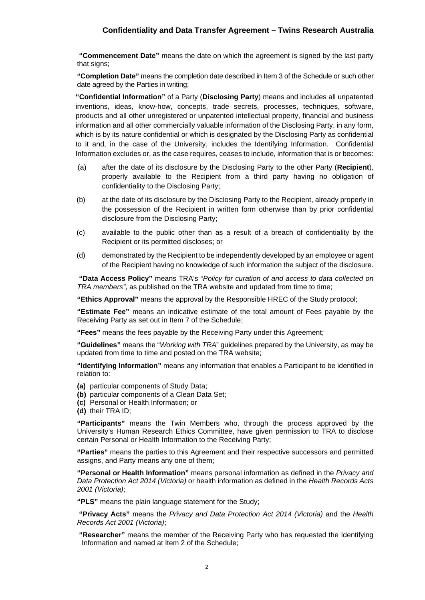**"Commencement Date"** means the date on which the agreement is signed by the last party that signs;

**"Completion Date"** means the completion date described in Item 3 of the Schedule or such other date agreed by the Parties in writing;

**"Confidential Information"** of a Party (**Disclosing Party**) means and includes all unpatented inventions, ideas, know-how, concepts, trade secrets, processes, techniques, software, products and all other unregistered or unpatented intellectual property, financial and business information and all other commercially valuable information of the Disclosing Party, in any form, which is by its nature confidential or which is designated by the Disclosing Party as confidential to it and, in the case of the University, includes the Identifying Information. Confidential Information excludes or, as the case requires, ceases to include, information that is or becomes:

- (a) after the date of its disclosure by the Disclosing Party to the other Party (**Recipient**), properly available to the Recipient from a third party having no obligation of confidentiality to the Disclosing Party;
- (b) at the date of its disclosure by the Disclosing Party to the Recipient, already properly in the possession of the Recipient in written form otherwise than by prior confidential disclosure from the Disclosing Party;
- (c) available to the public other than as a result of a breach of confidentiality by the Recipient or its permitted discloses; or
- (d) demonstrated by the Recipient to be independently developed by an employee or agent of the Recipient having no knowledge of such information the subject of the disclosure.

**"Data Access Policy"** means TRA's "*Policy for curation of and access to data collected on TRA members"*, as published on the TRA website and updated from time to time;

**"Ethics Approval"** means the approval by the Responsible HREC of the Study protocol;

**"Estimate Fee"** means an indicative estimate of the total amount of Fees payable by the Receiving Party as set out in Item 7 of the Schedule;

**"Fees"** means the fees payable by the Receiving Party under this Agreement;

**"Guidelines"** means the "*Working with TRA*" guidelines prepared by the University, as may be updated from time to time and posted on the TRA website;

**"Identifying Information"** means any information that enables a Participant to be identified in relation to:

- **(a)** particular components of Study Data;
- **(b)** particular components of a Clean Data Set;
- **(c)** Personal or Health Information; or
- **(d)** their TRA ID;

**"Participants"** means the Twin Members who, through the process approved by the University's Human Research Ethics Committee, have given permission to TRA to disclose certain Personal or Health Information to the Receiving Party;

**"Parties"** means the parties to this Agreement and their respective successors and permitted assigns, and Party means any one of them;

**"Personal or Health Information"** means personal information as defined in the *Privacy and Data Protection Act 2014 (Victoria)* or health information as defined in the *Health Records Acts 2001 (Victoria)*;

**"PLS"** means the plain language statement for the Study;

**"Privacy Acts"** means the *Privacy and Data Protection Act 2014 (Victoria)* and the *Health Records Act 2001 (Victoria)*;

**"Researcher"** means the member of the Receiving Party who has requested the Identifying Information and named at Item 2 of the Schedule;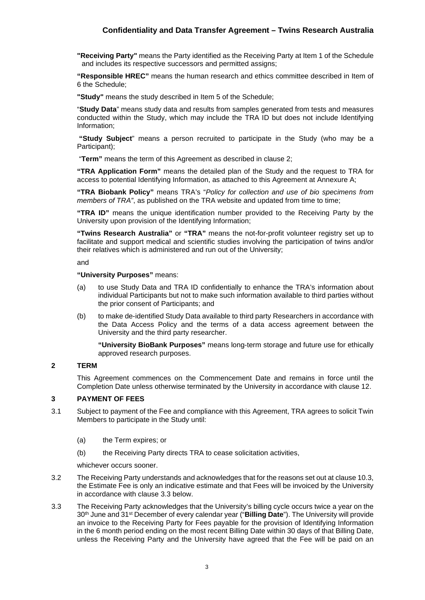**"Receiving Party"** means the Party identified as the Receiving Party at Item 1 of the Schedule and includes its respective successors and permitted assigns;

**"Responsible HREC"** means the human research and ethics committee described in Item of 6 the Schedule;

**"Study"** means the study described in Item 5 of the Schedule;

"**Study Data**" means study data and results from samples generated from tests and measures conducted within the Study, which may include the TRA ID but does not include Identifying Information;

**"Study Subject**" means a person recruited to participate in the Study (who may be a Participant):

"**Term"** means the term of this Agreement as described in clause 2;

**"TRA Application Form"** means the detailed plan of the Study and the request to TRA for access to potential Identifying Information, as attached to this Agreement at Annexure A;

**"TRA Biobank Policy"** means TRA's "*Policy for collection and use of bio specimens from members of TRA"*, as published on the TRA website and updated from time to time;

**"TRA ID"** means the unique identification number provided to the Receiving Party by the University upon provision of the Identifying Information;

**"Twins Research Australia"** or **"TRA"** means the not-for-profit volunteer registry set up to facilitate and support medical and scientific studies involving the participation of twins and/or their relatives which is administered and run out of the University;

and

#### **"University Purposes"** means:

- (a) to use Study Data and TRA ID confidentially to enhance the TRA's information about individual Participants but not to make such information available to third parties without the prior consent of Participants; and
- (b) to make de-identified Study Data available to third party Researchers in accordance with the Data Access Policy and the terms of a data access agreement between the University and the third party researcher.

**"University BioBank Purposes"** means long-term storage and future use for ethically approved research purposes.

#### **2 TERM**

This Agreement commences on the Commencement Date and remains in force until the Completion Date unless otherwise terminated by the University in accordance with clause 12.

## **3 PAYMENT OF FEES**

- 3.1 Subject to payment of the Fee and compliance with this Agreement, TRA agrees to solicit Twin Members to participate in the Study until:
	- (a) the Term expires; or
	- (b) the Receiving Party directs TRA to cease solicitation activities,

whichever occurs sooner.

- 3.2 The Receiving Party understands and acknowledges that for the reasons set out at clause 10.3, the Estimate Fee is only an indicative estimate and that Fees will be invoiced by the University in accordance with clause 3.3 below.
- 3.3 The Receiving Party acknowledges that the University's billing cycle occurs twice a year on the 30th June and 31st December of every calendar year ("**Billing Date**"). The University will provide an invoice to the Receiving Party for Fees payable for the provision of Identifying Information in the 6 month period ending on the most recent Billing Date within 30 days of that Billing Date, unless the Receiving Party and the University have agreed that the Fee will be paid on an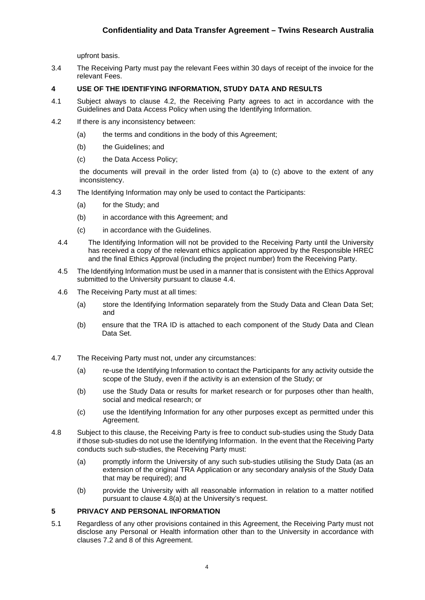upfront basis.

3.4 The Receiving Party must pay the relevant Fees within 30 days of receipt of the invoice for the relevant Fees.

#### **4 USE OF THE IDENTIFYING INFORMATION, STUDY DATA AND RESULTS**

- 4.1 Subject always to clause 4.2, the Receiving Party agrees to act in accordance with the Guidelines and Data Access Policy when using the Identifying Information.
- 4.2 If there is any inconsistency between:
	- (a) the terms and conditions in the body of this Agreement;
	- (b) the Guidelines; and
	- (c) the Data Access Policy;

the documents will prevail in the order listed from (a) to (c) above to the extent of any inconsistency.

- 4.3 The Identifying Information may only be used to contact the Participants:
	- (a) for the Study; and
	- (b) in accordance with this Agreement; and
	- (c) in accordance with the Guidelines.
	- 4.4 The Identifying Information will not be provided to the Receiving Party until the University has received a copy of the relevant ethics application approved by the Responsible HREC and the final Ethics Approval (including the project number) from the Receiving Party.
	- 4.5 The Identifying Information must be used in a manner that is consistent with the Ethics Approval submitted to the University pursuant to clause 4.4.
	- 4.6 The Receiving Party must at all times:
		- (a) store the Identifying Information separately from the Study Data and Clean Data Set; and
		- (b) ensure that the TRA ID is attached to each component of the Study Data and Clean Data Set.
- 4.7 The Receiving Party must not, under any circumstances:
	- (a) re-use the Identifying Information to contact the Participants for any activity outside the scope of the Study, even if the activity is an extension of the Study; or
	- (b) use the Study Data or results for market research or for purposes other than health, social and medical research; or
	- (c) use the Identifying Information for any other purposes except as permitted under this Agreement.
- 4.8 Subject to this clause, the Receiving Party is free to conduct sub-studies using the Study Data if those sub-studies do not use the Identifying Information. In the event that the Receiving Party conducts such sub-studies, the Receiving Party must:
	- (a) promptly inform the University of any such sub-studies utilising the Study Data (as an extension of the original TRA Application or any secondary analysis of the Study Data that may be required); and
	- (b) provide the University with all reasonable information in relation to a matter notified pursuant to clause 4.8(a) at the University's request.

#### **5 PRIVACY AND PERSONAL INFORMATION**

5.1 Regardless of any other provisions contained in this Agreement, the Receiving Party must not disclose any Personal or Health information other than to the University in accordance with clauses 7.2 and 8 of this Agreement.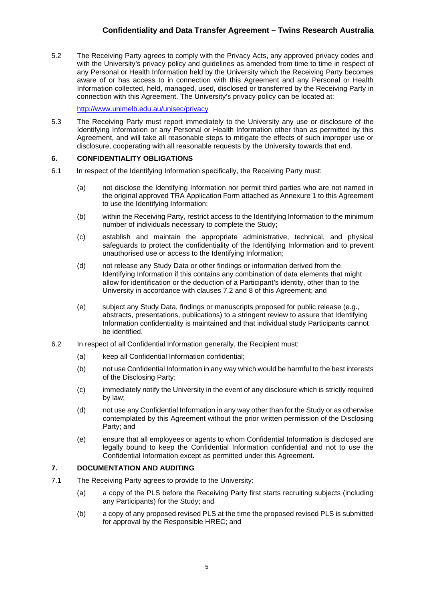5.2 The Receiving Party agrees to comply with the Privacy Acts, any approved privacy codes and with the University's privacy policy and guidelines as amended from time to time in respect of any Personal or Health Information held by the University which the Receiving Party becomes aware of or has access to in connection with this Agreement and any Personal or Health Information collected, held, managed, used, disclosed or transferred by the Receiving Party in connection with this Agreement. The University's privacy policy can be located at:

<http://www.unimelb.edu.au/unisec/privacy>

5.3 The Receiving Party must report immediately to the University any use or disclosure of the Identifying Information or any Personal or Health Information other than as permitted by this Agreement, and will take all reasonable steps to mitigate the effects of such improper use or disclosure, cooperating with all reasonable requests by the University towards that end.

## **6. CONFIDENTIALITY OBLIGATIONS**

- 6.1 In respect of the Identifying Information specifically, the Receiving Party must:
	- (a) not disclose the Identifying Information nor permit third parties who are not named in the original approved TRA Application Form attached as Annexure 1 to this Agreement to use the Identifying Information;
	- (b) within the Receiving Party, restrict access to the Identifying Information to the minimum number of individuals necessary to complete the Study;
	- (c) establish and maintain the appropriate administrative, technical, and physical safeguards to protect the confidentiality of the Identifying Information and to prevent unauthorised use or access to the Identifying Information;
	- (d) not release any Study Data or other findings or information derived from the Identifying Information if this contains any combination of data elements that might allow for identification or the deduction of a Participant's identity, other than to the University in accordance with clauses 7.2 and 8 of this Agreement; and
	- (e) subject any Study Data, findings or manuscripts proposed for public release (e.g., abstracts, presentations, publications) to a stringent review to assure that Identifying Information confidentiality is maintained and that individual study Participants cannot be identified.
- 6.2 In respect of all Confidential Information generally, the Recipient must:
	- (a) keep all Confidential Information confidential;
	- (b) not use Confidential Information in any way which would be harmful to the best interests of the Disclosing Party;
	- (c) immediately notify the University in the event of any disclosure which is strictly required by law;
	- (d) not use any Confidential Information in any way other than for the Study or as otherwise contemplated by this Agreement without the prior written permission of the Disclosing Party; and
	- (e) ensure that all employees or agents to whom Confidential Information is disclosed are legally bound to keep the Confidential Information confidential and not to use the Confidential Information except as permitted under this Agreement.

## **7. DOCUMENTATION AND AUDITING**

- 7.1 The Receiving Party agrees to provide to the University:
	- (a) a copy of the PLS before the Receiving Party first starts recruiting subjects (including any Participants) for the Study; and
	- (b) a copy of any proposed revised PLS at the time the proposed revised PLS is submitted for approval by the Responsible HREC; and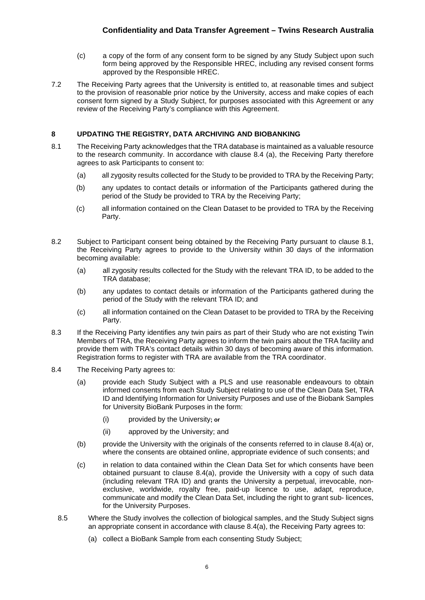- (c) a copy of the form of any consent form to be signed by any Study Subject upon such form being approved by the Responsible HREC, including any revised consent forms approved by the Responsible HREC.
- 7.2 The Receiving Party agrees that the University is entitled to, at reasonable times and subject to the provision of reasonable prior notice by the University, access and make copies of each consent form signed by a Study Subject, for purposes associated with this Agreement or any review of the Receiving Party's compliance with this Agreement.

## **8 UPDATING THE REGISTRY, DATA ARCHIVING AND BIOBANKING**

- 8.1 The Receiving Party acknowledges that the TRA database is maintained as a valuable resource to the research community. In accordance with clause 8.4 (a), the Receiving Party therefore agrees to ask Participants to consent to:
	- (a) all zygosity results collected for the Study to be provided to TRA by the Receiving Party;
	- (b) any updates to contact details or information of the Participants gathered during the period of the Study be provided to TRA by the Receiving Party;
	- (c) all information contained on the Clean Dataset to be provided to TRA by the Receiving Party.
- 8.2 Subject to Participant consent being obtained by the Receiving Party pursuant to clause 8.1, the Receiving Party agrees to provide to the University within 30 days of the information becoming available:
	- (a) all zygosity results collected for the Study with the relevant TRA ID, to be added to the TRA database;
	- (b) any updates to contact details or information of the Participants gathered during the period of the Study with the relevant TRA ID; and
	- (c) all information contained on the Clean Dataset to be provided to TRA by the Receiving Party.
- 8.3 If the Receiving Party identifies any twin pairs as part of their Study who are not existing Twin Members of TRA, the Receiving Party agrees to inform the twin pairs about the TRA facility and provide them with TRA's contact details within 30 days of becoming aware of this information. Registration forms to register with TRA are available from the TRA coordinator.
- 8.4 The Receiving Party agrees to:
	- (a) provide each Study Subject with a PLS and use reasonable endeavours to obtain informed consents from each Study Subject relating to use of the Clean Data Set, TRA ID and Identifying Information for University Purposes and use of the Biobank Samples for University BioBank Purposes in the form:
		- (i) provided by the University**; or**
		- (ii) approved by the University; and
	- (b) provide the University with the originals of the consents referred to in clause  $8.4(a)$  or, where the consents are obtained online, appropriate evidence of such consents; and
	- (c) in relation to data contained within the Clean Data Set for which consents have been obtained pursuant to clause 8.4(a), provide the University with a copy of such data (including relevant TRA ID) and grants the University a perpetual, irrevocable, nonexclusive, worldwide, royalty free, paid-up licence to use, adapt, reproduce, communicate and modify the Clean Data Set, including the right to grant sub- licences, for the University Purposes.
	- 8.5 Where the Study involves the collection of biological samples, and the Study Subject signs an appropriate consent in accordance with clause 8.4(a), the Receiving Party agrees to:
		- (a) collect a BioBank Sample from each consenting Study Subject;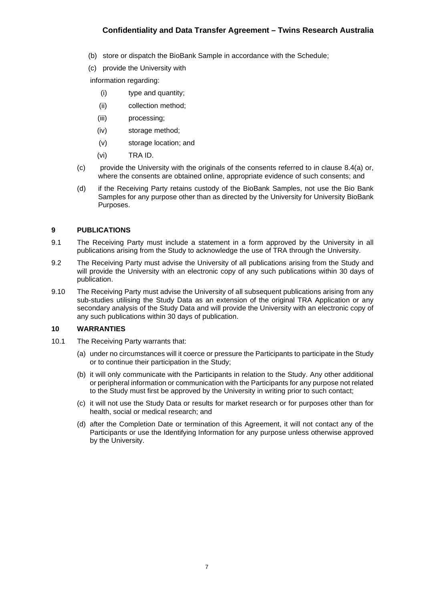- (b) store or dispatch the BioBank Sample in accordance with the Schedule;
- (c) provide the University with

information regarding:

- (i) type and quantity;
- (ii) collection method;
- (iii) processing;
- (iv) storage method;
- (v) storage location; and
- (vi) TRA ID.
- $(c)$  provide the University with the originals of the consents referred to in clause 8.4(a) or, where the consents are obtained online, appropriate evidence of such consents; and
- (d) if the Receiving Party retains custody of the BioBank Samples, not use the Bio Bank Samples for any purpose other than as directed by the University for University BioBank Purposes.

#### **9 PUBLICATIONS**

- 9.1 The Receiving Party must include a statement in a form approved by the University in all publications arising from the Study to acknowledge the use of TRA through the University.
- 9.2 The Receiving Party must advise the University of all publications arising from the Study and will provide the University with an electronic copy of any such publications within 30 days of publication.
- 9.10 The Receiving Party must advise the University of all subsequent publications arising from any sub-studies utilising the Study Data as an extension of the original TRA Application or any secondary analysis of the Study Data and will provide the University with an electronic copy of any such publications within 30 days of publication.

#### **10 WARRANTIES**

- 10.1 The Receiving Party warrants that:
	- (a) under no circumstances will it coerce or pressure the Participants to participate in the Study or to continue their participation in the Study;
	- (b) it will only communicate with the Participants in relation to the Study. Any other additional or peripheral information or communication with the Participants for any purpose not related to the Study must first be approved by the University in writing prior to such contact;
	- (c) it will not use the Study Data or results for market research or for purposes other than for health, social or medical research; and
	- (d) after the Completion Date or termination of this Agreement, it will not contact any of the Participants or use the Identifying Information for any purpose unless otherwise approved by the University.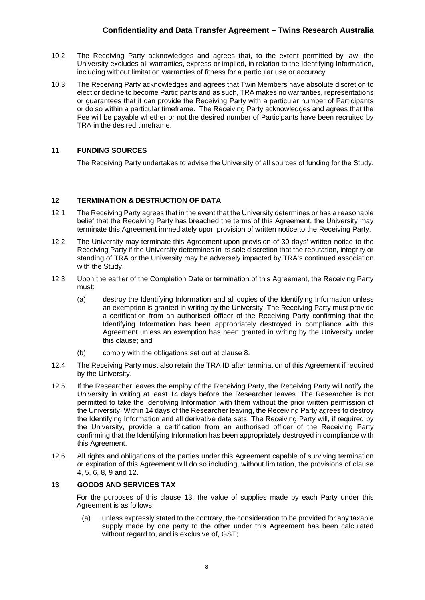- 10.2 The Receiving Party acknowledges and agrees that, to the extent permitted by law, the University excludes all warranties, express or implied, in relation to the Identifying Information, including without limitation warranties of fitness for a particular use or accuracy.
- 10.3 The Receiving Party acknowledges and agrees that Twin Members have absolute discretion to elect or decline to become Participants and as such, TRA makes no warranties, representations or guarantees that it can provide the Receiving Party with a particular number of Participants or do so within a particular timeframe. The Receiving Party acknowledges and agrees that the Fee will be payable whether or not the desired number of Participants have been recruited by TRA in the desired timeframe.

## **11 FUNDING SOURCES**

The Receiving Party undertakes to advise the University of all sources of funding for the Study.

## **12 TERMINATION & DESTRUCTION OF DATA**

- 12.1 The Receiving Party agrees that in the event that the University determines or has a reasonable belief that the Receiving Party has breached the terms of this Agreement, the University may terminate this Agreement immediately upon provision of written notice to the Receiving Party.
- 12.2 The University may terminate this Agreement upon provision of 30 days' written notice to the Receiving Party if the University determines in its sole discretion that the reputation, integrity or standing of TRA or the University may be adversely impacted by TRA's continued association with the Study.
- 12.3 Upon the earlier of the Completion Date or termination of this Agreement, the Receiving Party must:
	- (a) destroy the Identifying Information and all copies of the Identifying Information unless an exemption is granted in writing by the University. The Receiving Party must provide a certification from an authorised officer of the Receiving Party confirming that the Identifying Information has been appropriately destroyed in compliance with this Agreement unless an exemption has been granted in writing by the University under this clause; and
	- (b) comply with the obligations set out at clause 8.
- 12.4 The Receiving Party must also retain the TRA ID after termination of this Agreement if required by the University.
- 12.5 If the Researcher leaves the employ of the Receiving Party, the Receiving Party will notify the University in writing at least 14 days before the Researcher leaves. The Researcher is not permitted to take the Identifying Information with them without the prior written permission of the University. Within 14 days of the Researcher leaving, the Receiving Party agrees to destroy the Identifying Information and all derivative data sets. The Receiving Party will, if required by the University, provide a certification from an authorised officer of the Receiving Party confirming that the Identifying Information has been appropriately destroyed in compliance with this Agreement.
- 12.6 All rights and obligations of the parties under this Agreement capable of surviving termination or expiration of this Agreement will do so including, without limitation, the provisions of clause 4, 5, 6, 8, 9 and 12.

## **13 GOODS AND SERVICES TAX**

For the purposes of this clause 13, the value of supplies made by each Party under this Agreement is as follows:

(a) unless expressly stated to the contrary, the consideration to be provided for any taxable supply made by one party to the other under this Agreement has been calculated without regard to, and is exclusive of, GST;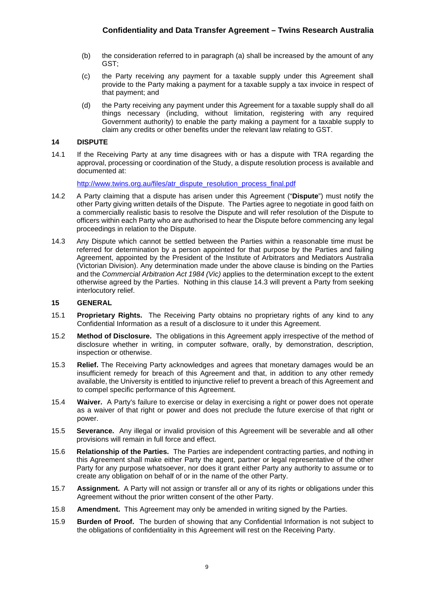- (b) the consideration referred to in paragraph (a) shall be increased by the amount of any GST;
- (c) the Party receiving any payment for a taxable supply under this Agreement shall provide to the Party making a payment for a taxable supply a tax invoice in respect of that payment; and
- (d) the Party receiving any payment under this Agreement for a taxable supply shall do all things necessary (including, without limitation, registering with any required Government authority) to enable the party making a payment for a taxable supply to claim any credits or other benefits under the relevant law relating to GST.

## **14 DISPUTE**

14.1 If the Receiving Party at any time disagrees with or has a dispute with TRA regarding the approval, processing or coordination of the Study, a dispute resolution process is available and documented at:

[http://www.twins.org.au/files/atr\\_dispute\\_resolution\\_process\\_final.pdf](http://www.twins.org.au/files/atr_dispute_resolution_process_final.pdf)

- 14.2 A Party claiming that a dispute has arisen under this Agreement ("**Dispute**") must notify the other Party giving written details of the Dispute. The Parties agree to negotiate in good faith on a commercially realistic basis to resolve the Dispute and will refer resolution of the Dispute to officers within each Party who are authorised to hear the Dispute before commencing any legal proceedings in relation to the Dispute.
- 14.3 Any Dispute which cannot be settled between the Parties within a reasonable time must be referred for determination by a person appointed for that purpose by the Parties and failing Agreement, appointed by the President of the Institute of Arbitrators and Mediators Australia (Victorian Division). Any determination made under the above clause is binding on the Parties and the *Commercial Arbitration Act 1984 (Vic)* applies to the determination except to the extent otherwise agreed by the Parties. Nothing in this clause 14.3 will prevent a Party from seeking interlocutory relief.

## **15 GENERAL**

- 15.1 **Proprietary Rights.** The Receiving Party obtains no proprietary rights of any kind to any Confidential Information as a result of a disclosure to it under this Agreement.
- 15.2 **Method of Disclosure.** The obligations in this Agreement apply irrespective of the method of disclosure whether in writing, in computer software, orally, by demonstration, description, inspection or otherwise.
- 15.3 **Relief.** The Receiving Party acknowledges and agrees that monetary damages would be an insufficient remedy for breach of this Agreement and that, in addition to any other remedy available, the University is entitled to injunctive relief to prevent a breach of this Agreement and to compel specific performance of this Agreement.
- 15.4 **Waiver.** A Party's failure to exercise or delay in exercising a right or power does not operate as a waiver of that right or power and does not preclude the future exercise of that right or power.
- 15.5 **Severance.** Any illegal or invalid provision of this Agreement will be severable and all other provisions will remain in full force and effect.
- 15.6 **Relationship of the Parties.** The Parties are independent contracting parties, and nothing in this Agreement shall make either Party the agent, partner or legal representative of the other Party for any purpose whatsoever, nor does it grant either Party any authority to assume or to create any obligation on behalf of or in the name of the other Party.
- 15.7 **Assignment.** A Party will not assign or transfer all or any of its rights or obligations under this Agreement without the prior written consent of the other Party.
- 15.8 **Amendment.** This Agreement may only be amended in writing signed by the Parties.
- 15.9 **Burden of Proof.** The burden of showing that any Confidential Information is not subject to the obligations of confidentiality in this Agreement will rest on the Receiving Party.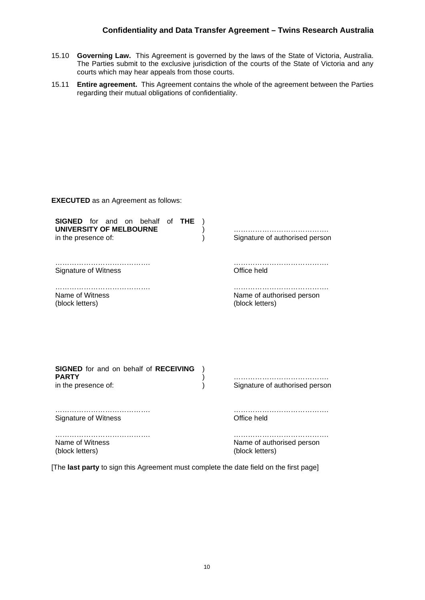- 15.10 **Governing Law.** This Agreement is governed by the laws of the State of Victoria, Australia. The Parties submit to the exclusive jurisdiction of the courts of the State of Victoria and any courts which may hear appeals from those courts.
- 15.11 **Entire agreement.** This Agreement contains the whole of the agreement between the Parties regarding their mutual obligations of confidentiality.

| <b>EXECUTED</b> as an Agreement as follows:                                                     |  |                                              |  |  |
|-------------------------------------------------------------------------------------------------|--|----------------------------------------------|--|--|
| <b>SIGNED</b> for and on behalf of <b>THE</b><br>UNIVERSITY OF MELBOURNE<br>in the presence of: |  | Signature of authorised person               |  |  |
| <b>Signature of Witness</b>                                                                     |  | Office held                                  |  |  |
| Name of Witness<br>(block letters)                                                              |  | Name of authorised person<br>(block letters) |  |  |
|                                                                                                 |  |                                              |  |  |
| <b>SIGNED</b> for and on behalf of <b>RECEIVING</b><br><b>PARTY</b><br>in the presence of:      |  | Signature of authorised person               |  |  |
| <b>Signature of Witness</b>                                                                     |  | Office held                                  |  |  |
| Name of Witness<br>(block letters)                                                              |  | Name of authorised person<br>(block letters) |  |  |

[The **last party** to sign this Agreement must complete the date field on the first page]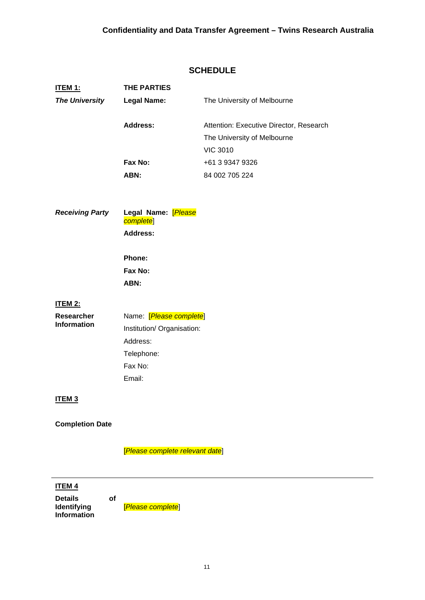## **SCHEDULE**

| <b>ITEM 1:</b>         | <b>THE PARTIES</b>               |                                         |  |
|------------------------|----------------------------------|-----------------------------------------|--|
| <b>The University</b>  | <b>Legal Name:</b>               | The University of Melbourne             |  |
|                        |                                  |                                         |  |
|                        | <b>Address:</b>                  | Attention: Executive Director, Research |  |
|                        |                                  | The University of Melbourne             |  |
|                        |                                  | <b>VIC 3010</b>                         |  |
|                        | Fax No:                          | +61 3 9347 9326                         |  |
|                        | ABN:                             | 84 002 705 224                          |  |
|                        |                                  |                                         |  |
|                        |                                  |                                         |  |
| <b>Receiving Party</b> | Legal Name: [Please<br>complete] |                                         |  |
|                        | <b>Address:</b>                  |                                         |  |
|                        |                                  |                                         |  |
|                        | Phone:                           |                                         |  |
|                        | Fax No:                          |                                         |  |
|                        | ABN:                             |                                         |  |
| <b>ITEM 2:</b>         |                                  |                                         |  |
| <b>Researcher</b>      | Name: [Please complete]          |                                         |  |
| <b>Information</b>     | Institution/ Organisation:       |                                         |  |
|                        | Address:                         |                                         |  |
|                        | Telephone:                       |                                         |  |
|                        | Fax No:                          |                                         |  |
|                        | Email:                           |                                         |  |
|                        |                                  |                                         |  |
| ITEM <sub>3</sub>      |                                  |                                         |  |
|                        |                                  |                                         |  |
| <b>Completion Date</b> |                                  |                                         |  |

[*Please complete relevant date*]

## **ITEM 4**

**Details of Identifying Information**

[*Please complete*]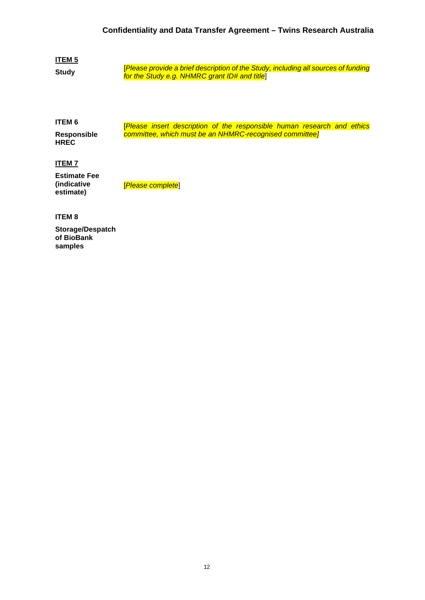## **ITEM 5**

**Study**

[*Please provide a brief description of the Study, including all sources of funding for the Study e.g. NHMRC grant ID# and title*]

**ITEM 6 Responsible HREC** [*Please insert description of the responsible human research and ethics committee, which must be an NHMRC-recognised committee]* 

## **ITEM 7**

**Estimate Fee (indicative estimate)**

[*Please complete*]

## **ITEM 8**

**Storage/Despatch of BioBank samples**